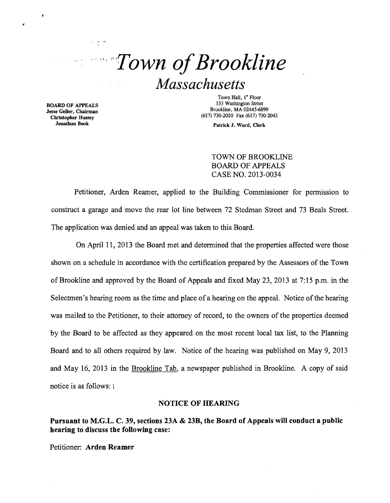

Jesse Geller, Chairman Jonathon Book

 $\pmb{\varphi}$ 

Town Hall, 1<sup>\*</sup> Floor<br>333 Washington Street **333 Washington Street** Bookline, MA 02445-6899<br> **Exces Gollar, Chairman** Brookline, MA 02445-6899 (617) 730-2010 Fax (617) 730-2043 Christopher Hussey

Patrick J. Ward, Clerk

TOWN OF BROOKLINE BOARD OF APPEALS CASE NO. 2013-0034

Petitioner, Arden Reamer, applied to the Building Commissioner for permission to construct a garage and move the rear lot line between 72 Stedman Street and 73 Beals Street. The application was denied and an appeal was taken to this Board.

On April 11, 2013 the Board met and determined that the properties affected were those shown on a schedule in accordance with the certification prepared by the Assessors of the Town of Brookline and approved by the Board of Appeals and fixed May 23,2013 at 7:15 p.m. in the Selectmen's hearing room as the time and place of a hearing on the appeal. Notice of the hearing was mailed to the Petitioner, to their attorney of record, to the owners of the properties deemed by the Board to be affected as they appeared on the most recent local tax list, to the Planning Board and to all others required by law. Notice of the hearing was published on May 9, 2013 and May 16, 2013 in the Brookline Tab, a newspaper published in Brookline. A copy of said notice is as follows: I

#### NOTICE OF HEARING

Pursuant to M.G.L. C. 39, sections 23A & 23B, the Board of Appeals will conduct a public hearing to discuss the following case:

Petitioner: Arden Reamer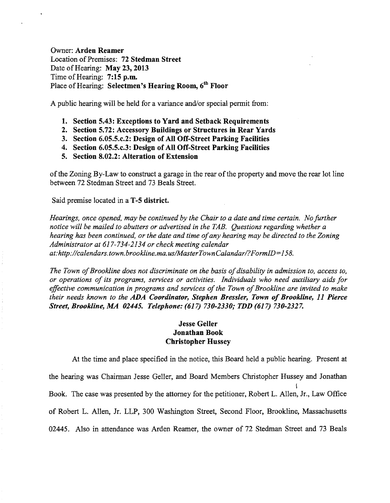Owner: Arden Reamer Location of Premises: 72 Stedman Street Date of Hearing: May 23, 2013 Time of Hearing: 7:15 p.m. Place of Hearing: Selectmen's Hearing Room,  $6<sup>th</sup>$  Floor

A public hearing will be held for a variance and/or special permit from:

- 1. Section 5.43: Exceptions to Yard and Setback Requirements
- 2. Section 5.72: Accessory Buildings or Structures in Rear Yards
- 3. Section 6.05.5.c.2: Design of All Off-Street Parking Facilities
- 4. Section 6.05.5.c.3: Design of All Off-Street Parking Facilities
- 5. Section 8.02.2: Alteration of Extension

ofthe Zoning By-Law to construct a garage in the rear ofthe property and move the rear lot line between 72 Stedman Street and 73 Beals Street.

Said premise located in a T-5 district.

*Hearings, once opened, may be continued by the Chair to a date and time certain. No further notice will be mailed to abutters or advertised in the TAB. Questions regarding whether a hearing has been continued, or the date and time ofany hearing may be directed to the Zoning Administrator at* 617-734-2134 *or check meeting calendar at:http://calendars.town.brookline.ma.usIMasterTownCalandarl?FormID=158.* 

*The Town of Brookline does not discriminate on the basis of disability in admission to, access to, or operations of its programs, services or activities. Individuals who need auxiliary aids for*  effective communication in programs and services of the Town of Brookline are invited to make *their needs known to the ADA Coordinator, Stephen Bressler, Town of Brookline, 11 Pierce Street, Brookline, MA 02445. Telephone:* (617) *730-2330; TDD* (617) *730-2327.* 

## Jesse Geller Jonathan Book Christopher Hussey

At the time and place specified in the notice, this Board held a public hearing. Present at the hearing was Chainnan Jesse Geller, and Board Members Christopher Hussey and Jonathan I Book. The case was presented by the attorney for the petitioner, Robert L. Allen, Jr., Law Office of Robert L. Allen, Jr. LLP, 300 Washington Street, Second Floor, Brookline, Massachusetts 02445. Also in attendance was Arden Reamer, the owner of 72 Stedman Street and 73 Beals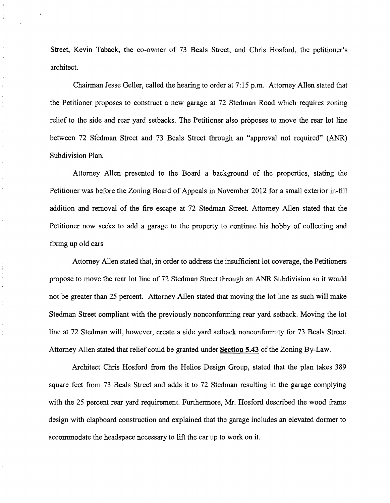Street, Kevin Taback, the co-owner of 73 Beals Street, and Chris Hosford, the petitioner's architect.

Chairman Jesse Geller, called the hearing to order at 7:15 p.m. Attorney Allen stated that the Petitioner proposes to construct a new garage at 72 Stedman Road which requires zoning relief to the side and rear yard setbacks. The Petitioner also proposes to move the rear lot line between 72 Stedman Street and 73 Beals Street through an "approval not required" (ANR) Subdivision Plan.

Attorney Allen presented to the Board a background of the properties, stating the Petitioner was before the Zoning Board of Appeals in November 2012 for a small exterior in-fill addition and removal of the fire escape at 72 Stedman Street. Attorney Allen stated that the Petitioner now seeks to add a garage to the property to continue his hobby of collecting and fixing up old cars

Attorney Allen stated that, in order to address the insufficient lot coverage, the Petitioners propose to move the rear lot line of 72 Stedman Street through an ANR Subdivision so it would not be greater than 25 percent. Attorney Allen stated that moving the lot line as such will make Stedman Street compliant with the previously nonconforming rear yard setback. Moving the lot line at 72 Stedman will, however, create a side yard setback nonconformity for 73 Beals Street. Attorney Allen stated that relief could be granted under **Section 5.43** of the Zoning By-Law.

Architect Chris Hosford from the Helios Design Group, stated that the plan takes 389 square feet from 73 Beals Street and adds it to 72 Stedman resulting in the garage complying with the 25 percent rear yard requirement. Furthermore, Mr. Hosford described the wood frame design with clapboard construction and explained that the garage includes an elevated dormer to accommodate the headspace necessary to lift the car up to work on it.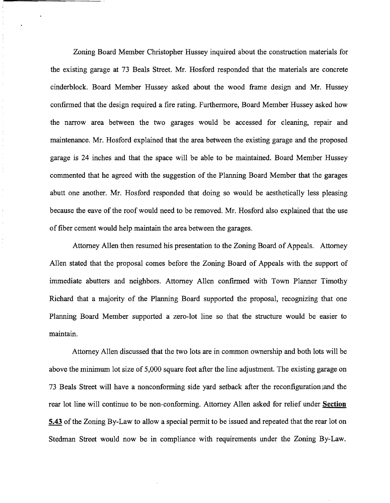Zoning Board Member Christopher Hussey inquired about the construction materials for the existing garage at 73 Beals Street. Mr. Hosford responded that the materials are concrete cinderblock. Board Member Hussey asked about the wood frame design and Mr. Hussey confirmed that the design required a fire rating. Furthermore, Board Member Hussey asked how the narrow area between the two garages would be accessed for cleaning, repair and maintenance. Mr. Hosford explained that the area between the existing garage and the proposed garage is 24 inches and that the space will be able to be maintained. Board Member Hussey commented that he agreed with the suggestion of the Planning Board Member that the garages abutt one another. Mr. Hosford responded that doing so would be aesthetically less pleasing because the eave of the roof would need to be removed. Mr. Hosford also explained that the use of fiber cement would help maintain the area between the garages.

 $\label{eq:2.1} \begin{array}{ll} \mathcal{L}_{\mathcal{A}} & \mathcal{R}_{\mathcal{A}} \\ \mathcal{R}_{\mathcal{A}} & \mathcal{R}_{\mathcal{A}} \\ \end{array}$  $\frac{1}{2}$ ÷

 $\frac{1}{\epsilon}$  $\frac{1}{2}$ 

 $\epsilon$  $\frac{1}{2}$ 

 $\bar{\tau}$ 

Attorney Allen then resumed his presentation to the Zoning Board of Appeals. Attorney Allen stated that the proposal comes before the Zoning Board of Appeals with the support of immediate abutters and neighbors. Attorney Allen confirmed with Town Planner Timothy Richard that a majority of the Planning Board supported the proposal, recognizing that one Planning Board Member supported a zero-lot line so that the structure would be easier to maintain.

Attorney Allen discussed that the two lots are in common ownership and both lots will be above the minimum lot size of 5,000 square feet after the line adjustment. The existing garage on 73 Beals Street will have a nonconforming side yard setback after the reconfiguration land the rear lot line will continue to be non-conforming. Attorney Allen asked for relief under **Section 5.43** of the Zoning By-Law to allow a special permit to be issued and repeated that the rear lot on Stedman Street would now be in compliance with requirements under the Zoning By-Law.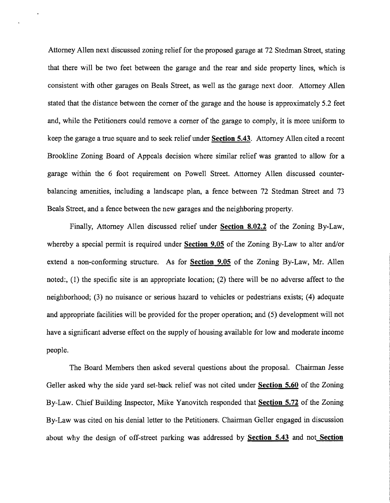Attorney Allen next discussed zoning relief for the proposed garage at 72 Stedman Street, stating that there will be two feet between the garage and the rear and side property lines, which is consistent with other garages on Beals Street, as well as the garage next door. Attorney Allen stated that the distance between the comer of the garage and the house is approximately 5.2 feet and, while the Petitioners could remove a corner of the garage to comply, it is more uniform to keep the garage a true square and to seek relief under Section 5.43. Attorney Allen cited a recent Brookline Zoning Board of Appeals decision where similar relief was granted to allow for a garage within the 6 foot requirement on Powell Street. Attorney Allen discussed counterbalancing amenities, including a landscape plan, a fence between 72 Stedman Street and 73 Beals Street, and a fence between the new garages and the neighboring property.

Finally, Attorney Allen discussed relief under Section 8.02.2 of the Zoning By-Law, whereby a special permit is required under Section 9.05 of the Zoning By-Law to alter and/or extend a non-conforming structure. As for **Section 9.05** of the Zoning By-Law, Mr. Allen noted:, (1) the specific site is an appropriate location; (2) there will be no adverse affect to the neighborhood; (3) no nuisance or serious hazard to vehicles or pedestrians exists; (4) adequate and appropriate facilities will be provided for the proper operation; and (5) development will not have a significant adverse effect on the supply of housing available for low and moderate income people.

The Board Members then asked several questions about the proposal. Chainnan Jesse Geller asked why the side yard set-back relief was not cited under Section 5.60 of the Zoning By-Law. Chief Building Inspector, Mike Yanovitch responded that Section 5.72 of the Zoning By-Law was cited on his denial letter to the Petitioners. Chainnan Geller engaged in discussion about why the design of off-street parking was addressed by **Section 5.43** and not **Section**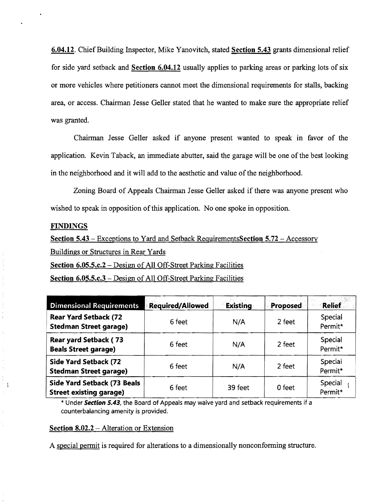6.04.12. Chief Building Inspector, Mike Yanovitch, stated Section 5.43 grants dimensional relief for side yard setback and Section 6.04.12 usually applies to parking areas or parking lots of six or more vehicles where petitioners cannot meet the dimensional requirements for stalls, backing area, or access. Chairman Jesse Geller stated that he wanted to make sure the appropriate relief was granted.

Chairman Jesse Geller asked if anyone present wanted to speak in favor of the application. Kevin Taback, an immediate abutter, said the garage will be one of the best looking in the neighborhood and it will add to the aesthetic and value of the neighborhood.

Zoning Board of Appeals Chairman Jesse Geller asked if there was anyone present who wished to speak in opposition of this application. No one spoke in opposition.

### FINDINGS

 $\begin{array}{c} \frac{1}{\epsilon} \\ \frac{1}{\epsilon} \end{array}$ 

 $\tilde{\zeta}$ 

 $\frac{1}{\epsilon}$ 

Ŋ.

Section 5.43 – Exceptions to Yard and Setback RequirementsSection 5.72 – Accessory

Buildings or Structures in Rear Yards

Section 6.05.5.c.2 - Design of All Off-Street Parking Facilities

Section 6.05.5.c.3 – Design of All Off-Street Parking Facilities

| <b>Dimensional Requirements</b>                                      | <b>Required/Allowed</b> | <b>Existing</b> | <b>Proposed</b> | <b>Relief</b>      |
|----------------------------------------------------------------------|-------------------------|-----------------|-----------------|--------------------|
| <b>Rear Yard Setback (72</b><br><b>Stedman Street garage)</b>        | 6 feet                  | N/A             | 2 feet          | Special<br>Permit* |
| <b>Rear yard Setback (73</b><br><b>Beals Street garage)</b>          | 6 feet                  | N/A             | 2 feet          | Special<br>Permit* |
| <b>Side Yard Setback (72</b><br><b>Stedman Street garage)</b>        | 6 feet                  | N/A             | 2 feet          | Special<br>Permit* |
| <b>Side Yard Setback (73 Beals</b><br><b>Street existing garage)</b> | 6 feet                  | 39 feet         | 0 feet          | Special<br>Permit* |

\* Under **Section** 5.43, the Board of Appeals may waive yard and setback requirements if a counterbalancing amenity is provided.

## Section 8.02.2 - Alteration or Extension

A special permit is required for alterations to a dimensionally nonconforming structure.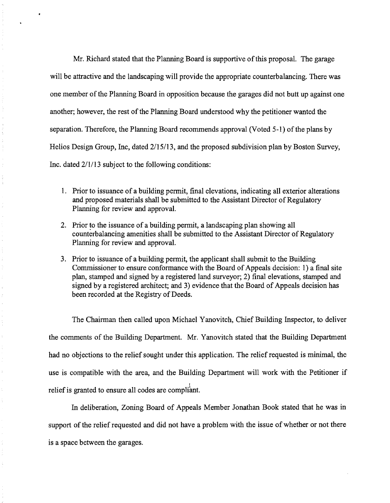Mr. Richard stated that the Planning Board is supportive of this proposal. The garage will be attractive and the landscaping will provide the appropriate counterbalancing. There was one member of the Planning Board in opposition because the garages did not butt up against one another; however, the rest of the Planning Board understood why the petitioner wanted the separation. Therefore, the Planning Board recommends approval (Voted 5-1) of the plans by Helios Design Group, Inc, dated 2/15/13, and the proposed subdivision plan by Boston Survey, Inc. dated 2/1/13 subject to the following conditions:

- 1. Prior to issuance of a building permit, final elevations, indicating all exterior alterations and proposed materials shall be submitted to the Assistant Director of Regulatory Planning for review and approvaL
- 2. Prior to the issuance of a building permit, a landscaping plan showing all counterbalancing amenities shall be submitted to the Assistant Director of Regulatory Planning for review and approval.
- 3. Prior to issuance of a building permit, the applicant shall submit to the Building Commissioner to ensure conformance with the Board of Appeals decision: 1) a final site plan, stamped and signed by a registered land surveyor; 2) final elevations, stamped and signed by a registered architect; and 3) evidence that the Board of Appeals decision has been recorded at the Registry of Deeds.

The Chairman then called upon Michael Yanovitch, Chief Building Inspector, to deliver the comments of the Building Department. Mr. Yanovitch stated that the Building Department had no objections to the relief sought under this application. The relief requested is minimal, the use is compatible with the area, and the Building Department will work with the Petitioner if relief is granted to ensure all codes are compliant.

 $\mathbb{C}$ 

In deliberation, Zoning Board of Appeals Member Jonathan Book stated that he was in support of the relief requested and did not have a problem with the issue of whether or not there is a space between the garages.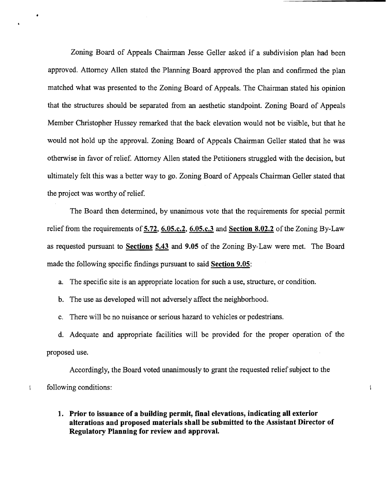Zoning Board of Appeals Chairman Jesse Geller asked if a subdivision plan had been approved. Attorney Allen stated the Planning Board approved the plan and confinned the plan matched what was presented to the Zoning Board of Appeals. The Chairman stated his opinion that the structures should be separated from an aesthetic standpoint. Zoning Board of Appeals Member Christopher Hussey remarked that the back elevation would not be visible, but that he would not hold up the approval. Zoning Board of Appeals Chairman Geller stated that he was otherwise in favor of relief. Attorney Allen stated the Petitioners struggled with the decision, but ultimately felt this was a better way to go. Zoning Board of Appeals Chairman Geller stated that the project was worthy of relief.

The Board then determined, by unanimous vote that the requirements for special permit relief from the requirements of 5.72, 6.05.c.2, 6.05.c.3 and Section 8.02.2 of the Zoning By-Law as requested pursuant to Sections 5.43 and 9.05 of the Zoning By-Law were met. The Board made the following specific findings pursuant to said Section 9.05:

a. The specific site is an appropriate location for such a use, structure, or condition.

b. The use as developed will not adversely affect the neighborhood.

 $\overline{\phantom{a}}$ 

c. There will be no nuisance or serious hazard to vehicles or pedestrians.

d. Adequate and appropriate facilities will be provided for the proper operation of the proposed use.

Accordingly, the Board voted unanimously to grant the requested relief subject to the following conditions:

# 1. Prior to issuance of a building permit, final elevations, indicating all exterior alterations and proposed materials shall be submitted to the Assistant Director of Regulatory Planning for review and approval.

 $\overline{1}$